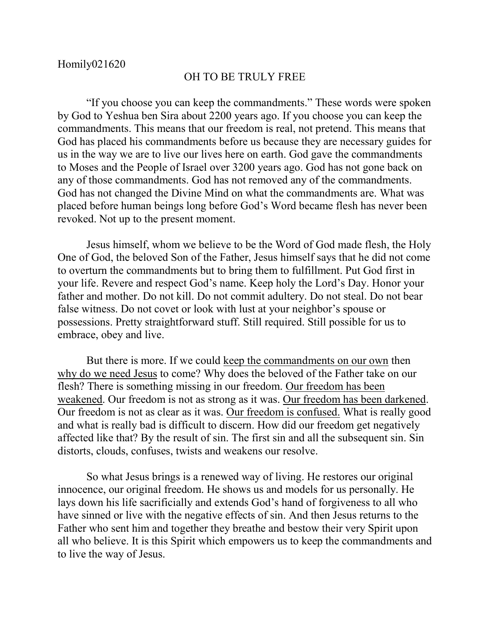## OH TO BE TRULY FREE

"If you choose you can keep the commandments." These words were spoken by God to Yeshua ben Sira about 2200 years ago. If you choose you can keep the commandments. This means that our freedom is real, not pretend. This means that God has placed his commandments before us because they are necessary guides for us in the way we are to live our lives here on earth. God gave the commandments to Moses and the People of Israel over 3200 years ago. God has not gone back on any of those commandments. God has not removed any of the commandments. God has not changed the Divine Mind on what the commandments are. What was placed before human beings long before God's Word became flesh has never been revoked. Not up to the present moment.

Jesus himself, whom we believe to be the Word of God made flesh, the Holy One of God, the beloved Son of the Father, Jesus himself says that he did not come to overturn the commandments but to bring them to fulfillment. Put God first in your life. Revere and respect God's name. Keep holy the Lord's Day. Honor your father and mother. Do not kill. Do not commit adultery. Do not steal. Do not bear false witness. Do not covet or look with lust at your neighbor's spouse or possessions. Pretty straightforward stuff. Still required. Still possible for us to embrace, obey and live.

But there is more. If we could keep the commandments on our own then why do we need Jesus to come? Why does the beloved of the Father take on our flesh? There is something missing in our freedom. Our freedom has been weakened. Our freedom is not as strong as it was. Our freedom has been darkened. Our freedom is not as clear as it was. Our freedom is confused. What is really good and what is really bad is difficult to discern. How did our freedom get negatively affected like that? By the result of sin. The first sin and all the subsequent sin. Sin distorts, clouds, confuses, twists and weakens our resolve.

So what Jesus brings is a renewed way of living. He restores our original innocence, our original freedom. He shows us and models for us personally. He lays down his life sacrificially and extends God's hand of forgiveness to all who have sinned or live with the negative effects of sin. And then Jesus returns to the Father who sent him and together they breathe and bestow their very Spirit upon all who believe. It is this Spirit which empowers us to keep the commandments and to live the way of Jesus.